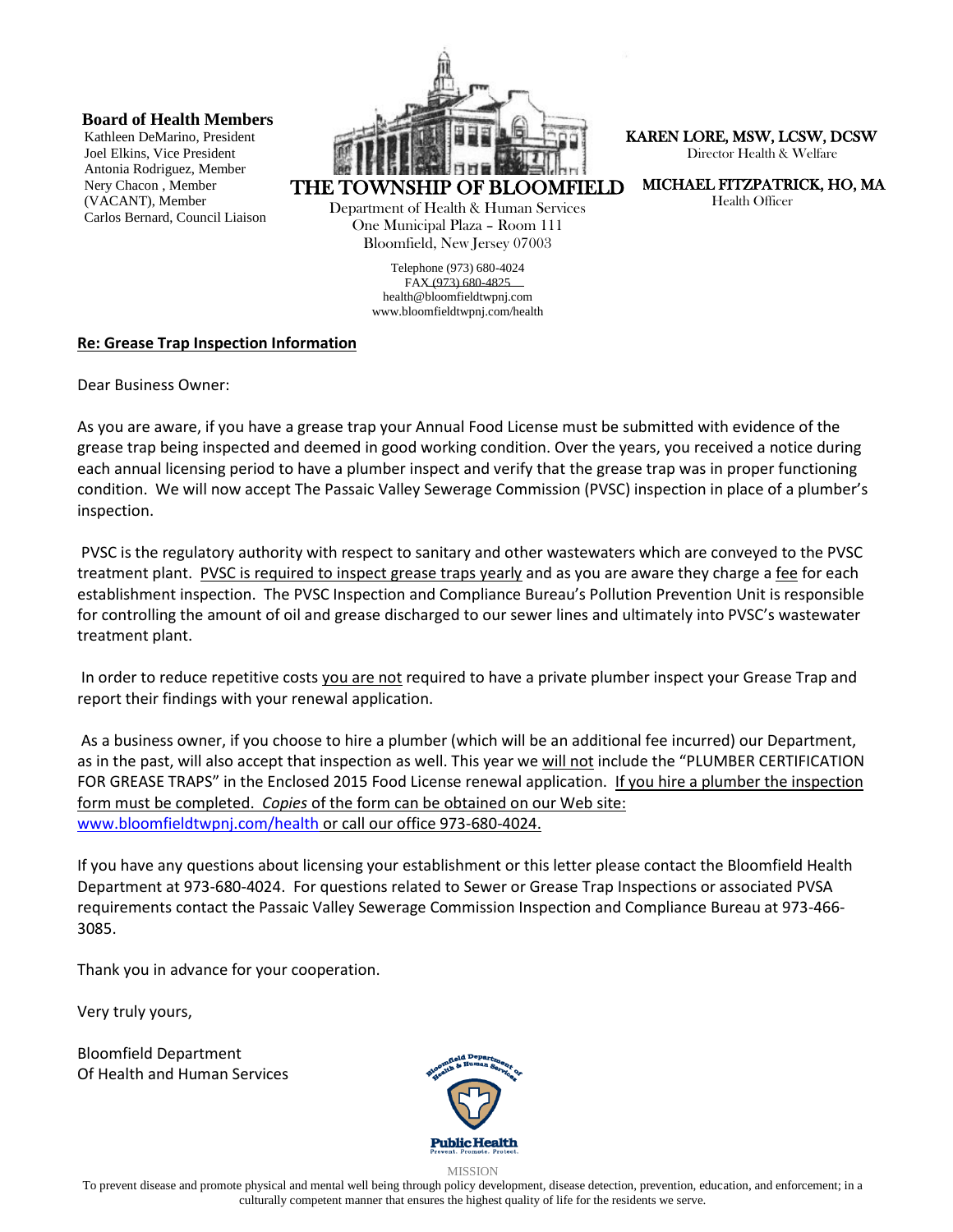**Board of Health Members**

Kathleen DeMarino, President Joel Elkins, Vice President Antonia Rodriguez, Member Nery Chacon , Member (VACANT), Member Carlos Bernard, Council Liaison



THE TOWNSHIP OF BLOOMFIELD

Department of Health & Human Services One Municipal Plaza – Room 111 Bloomfield, New Jersey 07003

> Telephone (973) 680-4024 FAX (973) 680-4825 [health@bloomfieldtwpnj.com](mailto:health@bloomfieldtwpnj.com) www.bloomfieldtwpnj.com/health

 KAREN LORE, MSW, LCSW, DCSW Director Health & Welfare

MICHAEL FITZPATRICK, HO, MA

Health Officer

## **Re: Grease Trap Inspection Information**

Dear Business Owner:

As you are aware, if you have a grease trap your Annual Food License must be submitted with evidence of the grease trap being inspected and deemed in good working condition. Over the years, you received a notice during each annual licensing period to have a plumber inspect and verify that the grease trap was in proper functioning condition. We will now accept The Passaic Valley Sewerage Commission (PVSC) inspection in place of a plumber's inspection.

PVSC is the regulatory authority with respect to sanitary and other wastewaters which are conveyed to the PVSC treatment plant. PVSC is required to inspect grease traps yearly and as you are aware they charge a fee for each establishment inspection. The PVSC Inspection and Compliance Bureau's Pollution Prevention Unit is responsible for controlling the amount of oil and grease discharged to our sewer lines and ultimately into PVSC's wastewater treatment plant.

In order to reduce repetitive costs you are not required to have a private plumber inspect your Grease Trap and report their findings with your renewal application.

As a business owner, if you choose to hire a plumber (which will be an additional fee incurred) our Department, as in the past, will also accept that inspection as well. This year we will not include the "PLUMBER CERTIFICATION FOR GREASE TRAPS" in the Enclosed 2015 Food License renewal application. If you hire a plumber the inspection form must be completed. *Copies* of the form can be obtained on our Web site: [www.bloomfieldtwpnj.com/health](http://www.bloomfieldtwpnj.com/health) or call our office 973-680-4024.

If you have any questions about licensing your establishment or this letter please contact the Bloomfield Health Department at 973-680-4024. For questions related to Sewer or Grease Trap Inspections or associated PVSA requirements contact the Passaic Valley Sewerage Commission Inspection and Compliance Bureau at 973-466- 3085.

Thank you in advance for your cooperation.

Very truly yours,

Bloomfield Department Of Health and Human Services



MISSION

To prevent disease and promote physical and mental well being through policy development, disease detection, prevention, education, and enforcement; in a culturally competent manner that ensures the highest quality of life for the residents we serve.